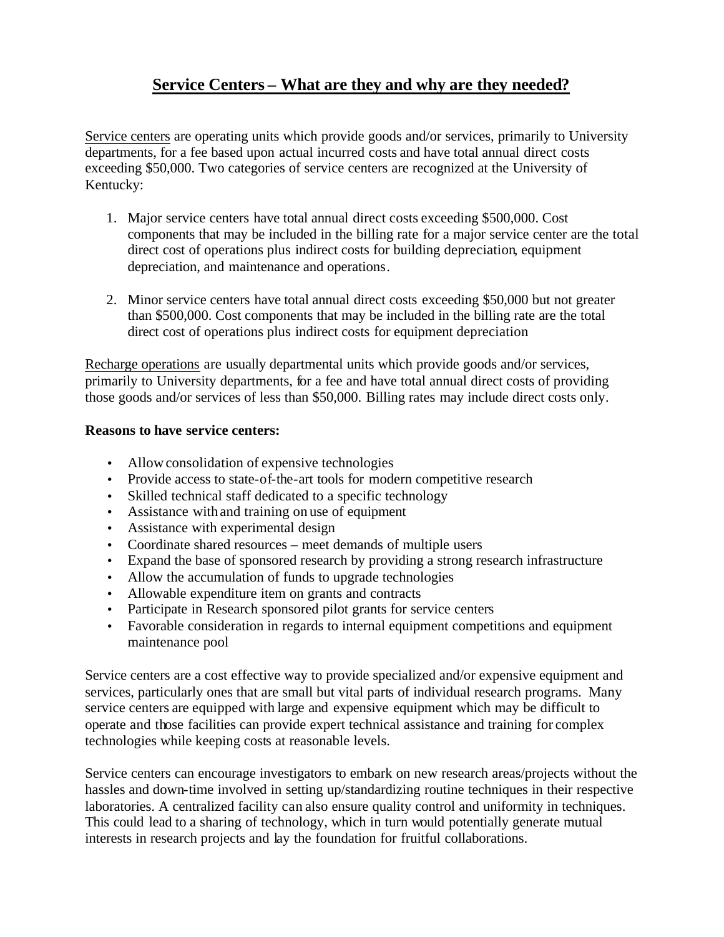# **Service Centers – What are they and why are they needed?**

Service centers are operating units which provide goods and/or services, primarily to University departments, for a fee based upon actual incurred costs and have total annual direct costs exceeding \$50,000. Two categories of service centers are recognized at the University of Kentucky:

- 1. Major service centers have total annual direct costs exceeding \$500,000. Cost components that may be included in the billing rate for a major service center are the total direct cost of operations plus indirect costs for building depreciation, equipment depreciation, and maintenance and operations.
- 2. Minor service centers have total annual direct costs exceeding \$50,000 but not greater than \$500,000. Cost components that may be included in the billing rate are the total direct cost of operations plus indirect costs for equipment depreciation

Recharge operations are usually departmental units which provide goods and/or services, primarily to University departments, for a fee and have total annual direct costs of providing those goods and/or services of less than \$50,000. Billing rates may include direct costs only.

# **Reasons to have service centers:**

- Allow consolidation of expensive technologies
- Provide access to state-of-the-art tools for modern competitive research
- Skilled technical staff dedicated to a specific technology
- Assistance with and training on use of equipment
- Assistance with experimental design
- Coordinate shared resources meet demands of multiple users
- Expand the base of sponsored research by providing a strong research infrastructure
- Allow the accumulation of funds to upgrade technologies
- Allowable expenditure item on grants and contracts
- Participate in Research sponsored pilot grants for service centers
- Favorable consideration in regards to internal equipment competitions and equipment maintenance pool

Service centers are a cost effective way to provide specialized and/or expensive equipment and services, particularly ones that are small but vital parts of individual research programs. Many service centers are equipped with large and expensive equipment which may be difficult to operate and those facilities can provide expert technical assistance and training for complex technologies while keeping costs at reasonable levels.

Service centers can encourage investigators to embark on new research areas/projects without the hassles and down-time involved in setting up/standardizing routine techniques in their respective laboratories. A centralized facility can also ensure quality control and uniformity in techniques. This could lead to a sharing of technology, which in turn would potentially generate mutual interests in research projects and lay the foundation for fruitful collaborations.